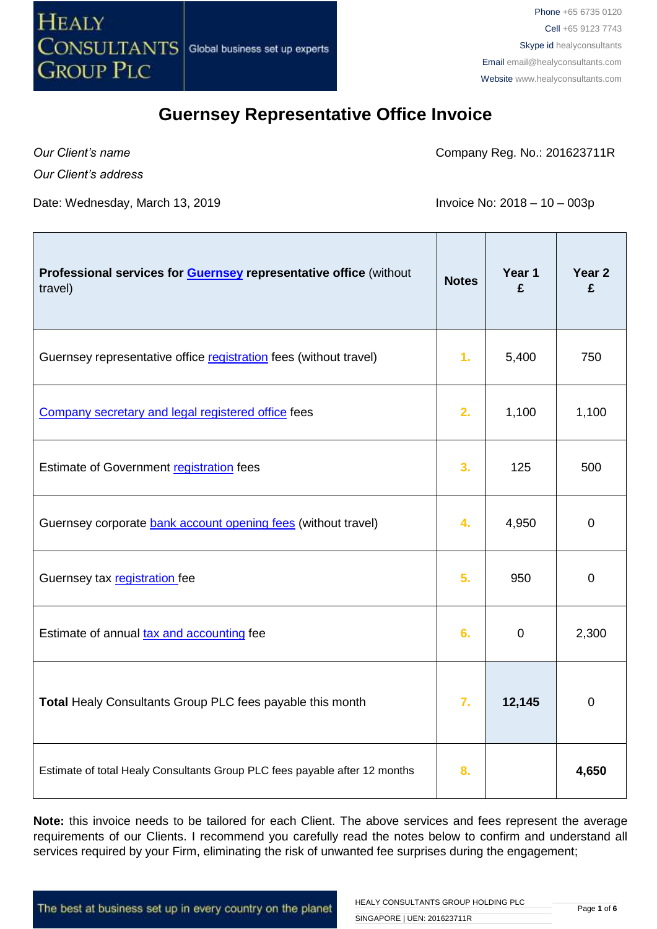

*Our Client's name*

Company Reg. No.: 201623711R

*Our Client's address*

Date: Wednesday, March 13, 2019  $\blacksquare$  Invoice No: 2018 – 10 – 003p

| Professional services for <b>Guernsey</b> representative office (without<br>travel) | <b>Notes</b> | Year 1<br>£ | Year 2<br>£ |
|-------------------------------------------------------------------------------------|--------------|-------------|-------------|
| Guernsey representative office registration fees (without travel)                   | 1.           | 5,400       | 750         |
| Company secretary and legal registered office fees                                  | 2.           | 1,100       | 1,100       |
| Estimate of Government registration fees                                            | 3.           | 125         | 500         |
| Guernsey corporate bank account opening fees (without travel)                       | 4.           | 4,950       | $\mathbf 0$ |
| Guernsey tax registration fee                                                       | 5.           | 950         | 0           |
| Estimate of annual tax and accounting fee                                           | 6.           | $\mathbf 0$ | 2,300       |
| Total Healy Consultants Group PLC fees payable this month                           | 7.           | 12,145      | $\pmb{0}$   |
| Estimate of total Healy Consultants Group PLC fees payable after 12 months          | 8.           |             | 4,650       |

**Note:** this invoice needs to be tailored for each Client. The above services and fees represent the average requirements of our Clients. I recommend you carefully read the notes below to confirm and understand all services required by your Firm, eliminating the risk of unwanted fee surprises during the engagement;

The best at business set up in every country on the planet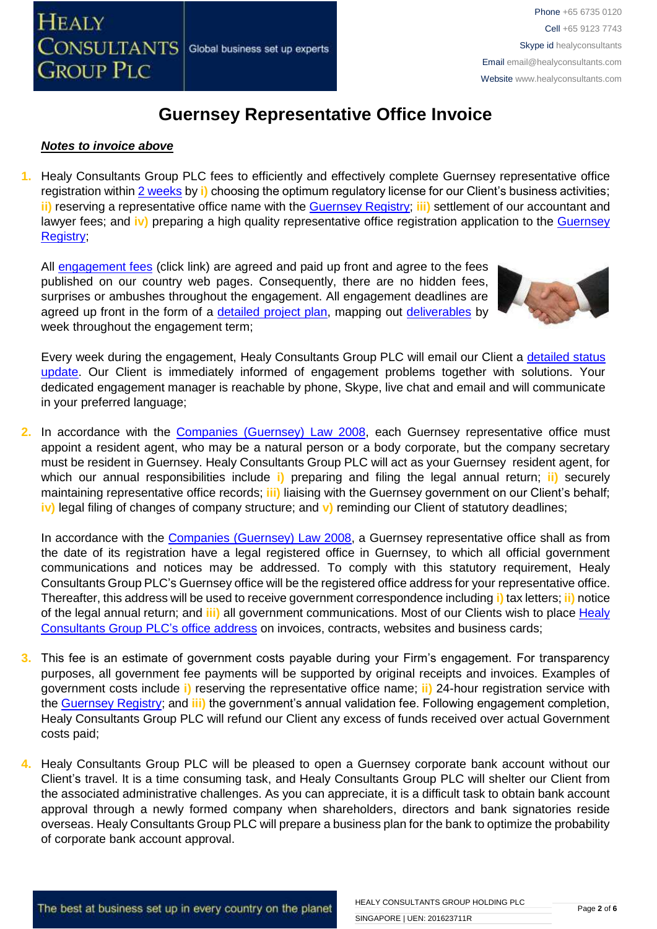#### *Notes to invoice above*

**1.** Healy Consultants Group PLC fees to efficiently and effectively complete Guernsey representative office registration within [2 weeks](http://www.healyconsultants.com/guernsey-company-registration/fees-timelines/#timelines) by **i)** choosing the optimum regulatory license for our Client's business activities; **ii)** reserving a representative office name with the [Guernsey Registry;](http://guernseyregistry.com/) **iii)** settlement of our accountant and lawyer fees; and **iv)** preparing a high quality representative office registration application to the [Guernsey](http://guernseyregistry.com/)  [Registry;](http://guernseyregistry.com/)

All [engagement fees](http://www.healyconsultants.com/company-registration-fees/) (click link) are agreed and paid up front and agree to the fees published on our country web pages. Consequently, there are no hidden fees, surprises or ambushes throughout the engagement. All engagement deadlines are agreed up front in the form of a [detailed project plan,](http://www.healyconsultants.com/index-important-links/example-project-plan/) mapping out [deliverables](http://www.healyconsultants.com/deliverables-to-our-clients/) by week throughout the engagement term;



Every week during the engagement, Healy Consultants Group PLC will email our Client a detailed status [update.](http://www.healyconsultants.com/index-important-links/weekly-engagement-status-email/) Our Client is immediately informed of engagement problems together with solutions. Your dedicated engagement manager is reachable by phone, Skype, live chat and email and will communicate in your preferred language;

**2.** In accordance with the [Companies \(Guernsey\) Law 2008,](http://www.gfsc.gg/The-Commission/Policy%20and%20Legislation/Companies-(Guernsey)-Law-2008-(Consolidated-text).pdf) each Guernsey representative office must appoint a resident agent, who may be a natural person or a body corporate, but the company secretary must be resident in Guernsey. Healy Consultants Group PLC will act as your Guernsey resident agent, for which our annual responsibilities include **i)** preparing and filing the legal annual return; **ii)** securely maintaining representative office records; **iii)** liaising with the Guernsey government on our Client's behalf; **iv)** legal filing of changes of company structure; and **v)** reminding our Client of statutory deadlines;

In accordance with the [Companies \(Guernsey\) Law 2008,](http://www.gfsc.gg/The-Commission/Policy%20and%20Legislation/Companies-(Guernsey)-Law-2008-(Consolidated-text).pdf) a Guernsey representative office shall as from the date of its registration have a legal registered office in Guernsey, to which all official government communications and notices may be addressed. To comply with this statutory requirement, Healy Consultants Group PLC's Guernsey office will be the registered office address for your representative office. Thereafter, this address will be used to receive government correspondence including **i)** tax letters; **ii)** notice of the legal annual return; and **iii)** all government communications. Most of our Clients wish to place [Healy](http://www.healyconsultants.com/corporate-outsourcing-services/company-secretary-and-legal-registered-office/)  [Consultants Group PLC's](http://www.healyconsultants.com/corporate-outsourcing-services/company-secretary-and-legal-registered-office/) office address on invoices, contracts, websites and business cards;

- **3.** This fee is an estimate of government costs payable during your Firm's engagement. For transparency purposes, all government fee payments will be supported by original receipts and invoices. Examples of government costs include **i)** reserving the representative office name; **ii)** 24-hour registration service with the [Guernsey Registry;](http://guernseyregistry.com/) and **iii)** the government's annual validation fee. Following engagement completion, Healy Consultants Group PLC will refund our Client any excess of funds received over actual Government costs paid;
- **4.** Healy Consultants Group PLC will be pleased to open a Guernsey corporate bank account without our Client's travel. It is a time consuming task, and Healy Consultants Group PLC will shelter our Client from the associated administrative challenges. As you can appreciate, it is a difficult task to obtain bank account approval through a newly formed company when shareholders, directors and bank signatories reside overseas. Healy Consultants Group PLC will prepare a business plan for the bank to optimize the probability of corporate bank account approval.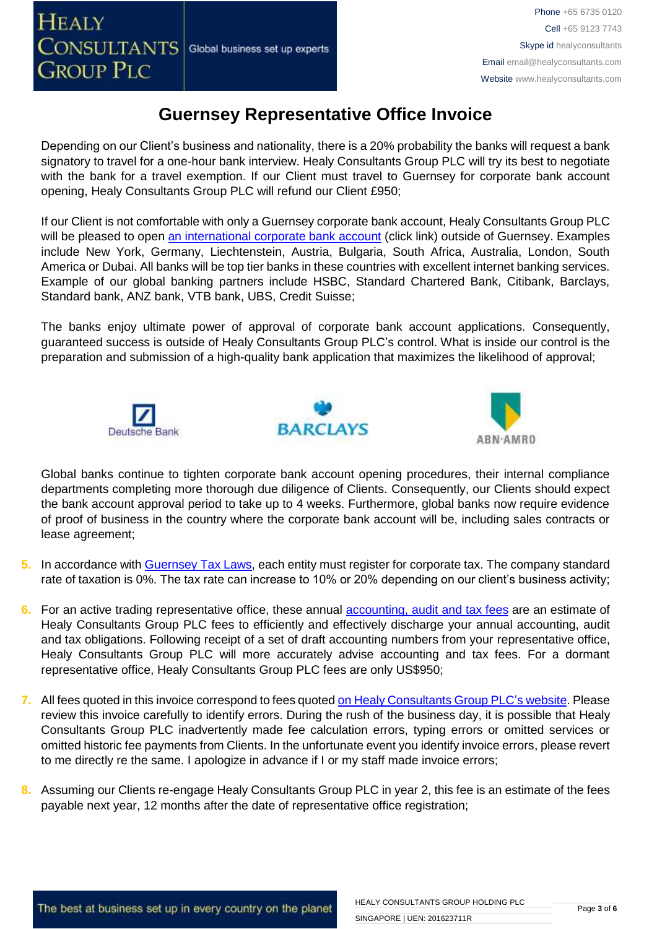Depending on our Client's business and nationality, there is a 20% probability the banks will request a bank signatory to travel for a one-hour bank interview. Healy Consultants Group PLC will try its best to negotiate with the bank for a travel exemption. If our Client must travel to Guernsey for corporate bank account opening, Healy Consultants Group PLC will refund our Client £950;

If our Client is not comfortable with only a Guernsey corporate bank account, Healy Consultants Group PLC will be pleased to open [an international corporate bank account](http://www.healyconsultants.com/international-banking/) (click link) outside of Guernsey. Examples include New York, Germany, Liechtenstein, Austria, Bulgaria, South Africa, Australia, London, South America or Dubai. All banks will be top tier banks in these countries with excellent internet banking services. Example of our global banking partners include HSBC, Standard Chartered Bank, Citibank, Barclays, Standard bank, ANZ bank, VTB bank, UBS, Credit Suisse;

The banks enjoy ultimate power of approval of corporate bank account applications. Consequently, guaranteed success is outside of Healy Consultants Group PLC's control. What is inside our control is the preparation and submission of a high-quality bank application that maximizes the likelihood of approval;







Global banks continue to tighten corporate bank account opening procedures, their internal compliance departments completing more thorough due diligence of Clients. Consequently, our Clients should expect the bank account approval period to take up to 4 weeks. Furthermore, global banks now require evidence of proof of business in the country where the corporate bank account will be, including sales contracts or lease agreement;

- **5.** In accordance with [Guernsey Tax Laws,](https://gov.gg/article/120167/Tax-for-businesses-companies-and-employers) each entity must register for corporate tax. The company standard rate of taxation is 0%. The tax rate can increase to 10% or 20% depending on our client's business activity;
- **6.** For an active trading representative office, these annual [accounting, audit and tax](http://www.healyconsultants.com/guernsey-company-registration/accounting-legal/) fees are an estimate of Healy Consultants Group PLC fees to efficiently and effectively discharge your annual accounting, audit and tax obligations. Following receipt of a set of draft accounting numbers from your representative office, Healy Consultants Group PLC will more accurately advise accounting and tax fees. For a dormant representative office, Healy Consultants Group PLC fees are only US\$950;
- **7.** All fees quoted in this invoice correspond to fees quoted [on Healy Consultants Group PLC's](http://www.healyconsultants.com/company-registration-fees/) website. Please review this invoice carefully to identify errors. During the rush of the business day, it is possible that Healy Consultants Group PLC inadvertently made fee calculation errors, typing errors or omitted services or omitted historic fee payments from Clients. In the unfortunate event you identify invoice errors, please revert to me directly re the same. I apologize in advance if I or my staff made invoice errors;
- **8.** Assuming our Clients re-engage Healy Consultants Group PLC in year 2, this fee is an estimate of the fees payable next year, 12 months after the date of representative office registration;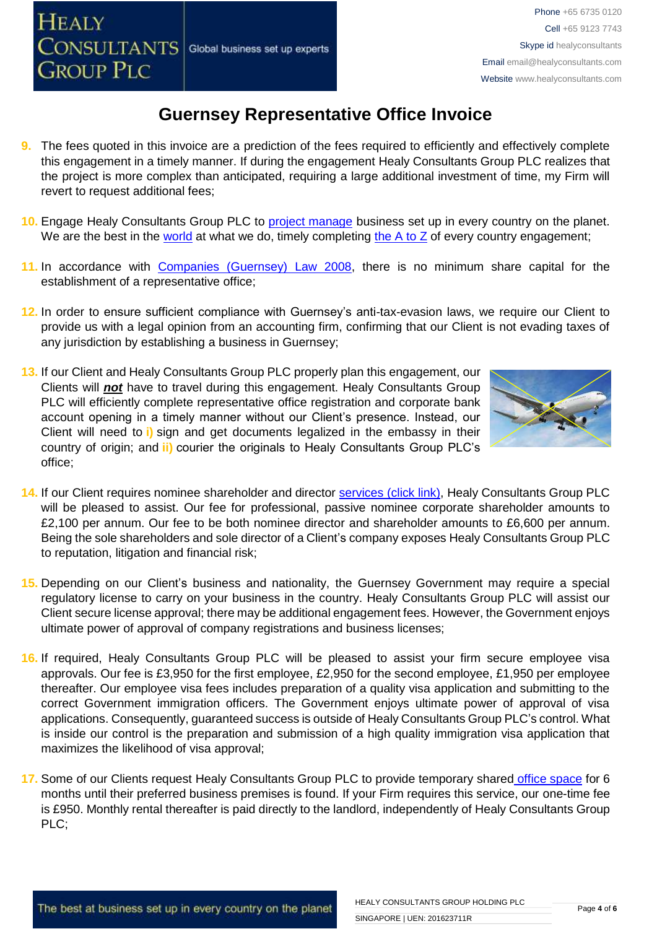Global business set up experts

**HEALY** 

### **Guernsey Representative Office Invoice**

- **9.** The fees quoted in this invoice are a prediction of the fees required to efficiently and effectively complete this engagement in a timely manner. If during the engagement Healy Consultants Group PLC realizes that the project is more complex than anticipated, requiring a large additional investment of time, my Firm will revert to request additional fees;
- **10.** Engage Healy Consultants Group PLC to [project manage](http://www.healyconsultants.com/project-manage-engagements/) business set up in every country on the planet. We are the best in the [world](http://www.healyconsultants.com/best-in-the-world/) at what we do, timely completing the  $A$  to  $Z$  of every country engagement;
- **11.** In accordance with [Companies \(Guernsey\) Law 2008,](http://www.guernseylegalresources.gg/article/94138/Companies-Guernsey-Law-2008-Consolidated-text) there is no minimum share capital for the establishment of a representative office;
- **12.** In order to ensure sufficient compliance with Guernsey's anti-tax-evasion laws, we require our Client to provide us with a legal opinion from an accounting firm, confirming that our Client is not evading taxes of any jurisdiction by establishing a business in Guernsey;
- **13.** If our Client and Healy Consultants Group PLC properly plan this engagement, our Clients will *not* have to travel during this engagement. Healy Consultants Group PLC will efficiently complete representative office registration and corporate bank account opening in a timely manner without our Client's presence. Instead, our Client will need to **i)** sign and get documents legalized in the embassy in their country of origin; and **ii)** courier the originals to Healy Consultants Group PLC's office;



- **14.** If our Client requires nominee shareholder and director services [\(click link\),](http://www.healyconsultants.com/corporate-outsourcing-services/nominee-shareholders-directors/) Healy Consultants Group PLC will be pleased to assist. Our fee for professional, passive nominee corporate shareholder amounts to £2,100 per annum. Our fee to be both nominee director and shareholder amounts to £6,600 per annum. Being the sole shareholders and sole director of a Client's company exposes Healy Consultants Group PLC to reputation, litigation and financial risk;
- **15.** Depending on our Client's business and nationality, the Guernsey Government may require a special regulatory license to carry on your business in the country. Healy Consultants Group PLC will assist our Client secure license approval; there may be additional engagement fees. However, the Government enjoys ultimate power of approval of company registrations and business licenses;
- **16.** If required, Healy Consultants Group PLC will be pleased to assist your firm secure employee visa approvals. Our fee is £3,950 for the first employee, £2,950 for the second employee, £1,950 per employee thereafter. Our employee visa fees includes preparation of a quality visa application and submitting to the correct Government immigration officers. The Government enjoys ultimate power of approval of visa applications. Consequently, guaranteed success is outside of Healy Consultants Group PLC's control. What is inside our control is the preparation and submission of a high quality immigration visa application that maximizes the likelihood of visa approval;
- **17.** Some of our Clients request Healy Consultants Group PLC to provide temporary shared [office space](http://www.healyconsultants.com/virtual-office/) for 6 months until their preferred business premises is found. If your Firm requires this service, our one-time fee is £950. Monthly rental thereafter is paid directly to the landlord, independently of Healy Consultants Group PLC;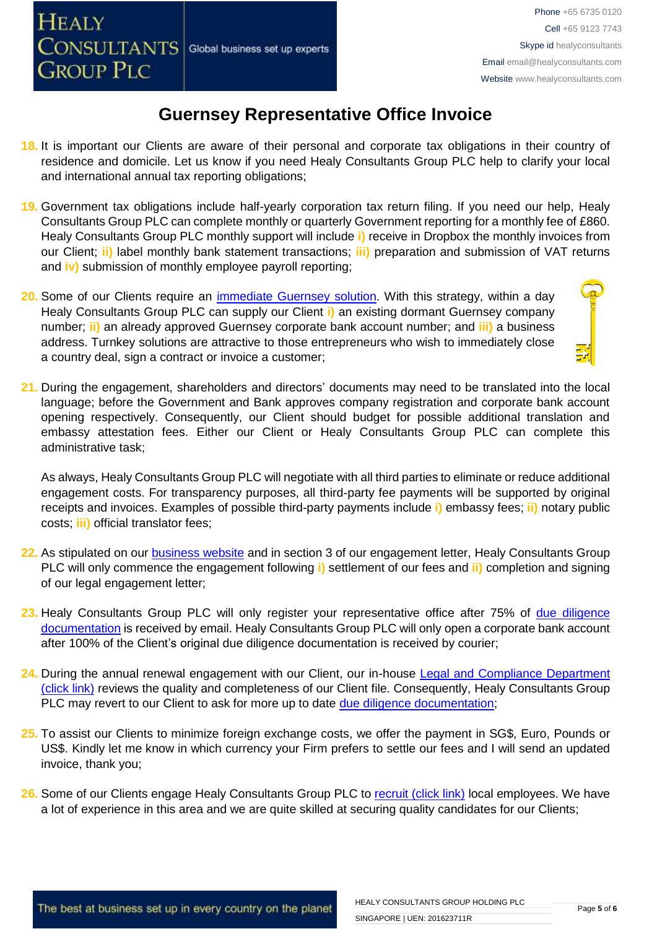- **18.** It is important our Clients are aware of their personal and corporate tax obligations in their country of residence and domicile. Let us know if you need Healy Consultants Group PLC help to clarify your local and international annual tax reporting obligations;
- **19.** Government tax obligations include half-yearly corporation tax return filing. If you need our help, Healy Consultants Group PLC can complete monthly or quarterly Government reporting for a monthly fee of £860. Healy Consultants Group PLC monthly support will include **i)** receive in Dropbox the monthly invoices from our Client; **ii)** label monthly bank statement transactions; **iii)** preparation and submission of VAT returns and **iv)** submission of monthly employee payroll reporting;
- **20.** Some of our Clients require an [immediate Guernsey](http://www.healyconsultants.com/turnkey-solutions/) solution. With this strategy, within a day Healy Consultants Group PLC can supply our Client **i)** an existing dormant Guernsey company number; **ii)** an already approved Guernsey corporate bank account number; and **iii)** a business address. Turnkey solutions are attractive to those entrepreneurs who wish to immediately close a country deal, sign a contract or invoice a customer;
- **21.** During the engagement, shareholders and directors' documents may need to be translated into the local language; before the Government and Bank approves company registration and corporate bank account opening respectively. Consequently, our Client should budget for possible additional translation and embassy attestation fees. Either our Client or Healy Consultants Group PLC can complete this administrative task;

As always, Healy Consultants Group PLC will negotiate with all third parties to eliminate or reduce additional engagement costs. For transparency purposes, all third-party fee payments will be supported by original receipts and invoices. Examples of possible third-party payments include **i)** embassy fees; **ii)** notary public costs; **iii)** official translator fees;

- **22.** As stipulated on our [business website](http://www.healyconsultants.com/) and in section 3 of our engagement letter, Healy Consultants Group PLC will only commence the engagement following **i)** settlement of our fees and **ii)** completion and signing of our legal engagement letter;
- 23. Healy Consultants Group PLC will only register your representative office after 75% of due diligence [documentation](http://www.healyconsultants.com/due-diligence/) is received by email. Healy Consultants Group PLC will only open a corporate bank account after 100% of the Client's original due diligence documentation is received by courier;
- **24.** During the annual renewal engagement with our Client, our in-house [Legal and Compliance Department](http://www.healyconsultants.com/about-us/key-personnel/cai-xin-profile/)  [\(click link\)](http://www.healyconsultants.com/about-us/key-personnel/cai-xin-profile/) reviews the quality and completeness of our Client file. Consequently, Healy Consultants Group PLC may revert to our Client to ask for more up to date [due diligence documentation;](http://www.healyconsultants.com/due-diligence/)
- **25.** To assist our Clients to minimize foreign exchange costs, we offer the payment in SG\$, Euro, Pounds or US\$. Kindly let me know in which currency your Firm prefers to settle our fees and I will send an updated invoice, thank you;
- **26.** Some of our Clients engage Healy Consultants Group PLC to [recruit \(click link\)](http://www.healyconsultants.com/corporate-outsourcing-services/how-we-help-our-clients-recruit-quality-employees/) local employees. We have a lot of experience in this area and we are quite skilled at securing quality candidates for our Clients;